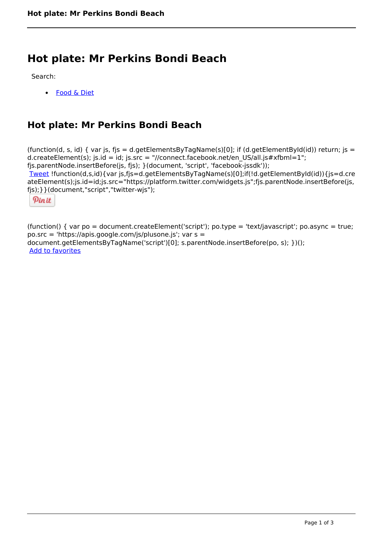# **Hot plate: Mr Perkins Bondi Beach**

Search:

[Food & Diet](https://www.naturalhealthmag.com.au/nourish/diet)

## **Hot plate: Mr Perkins Bondi Beach**

(function(d, s, id) { var js, fjs = d.getElementsByTagName(s)[0]; if (d.getElementById(id)) return; js = d.createElement(s); js.id = id; js.src = "//connect.facebook.net/en\_US/all.js#xfbml=1"; fjs.parentNode.insertBefore(js, fjs); }(document, 'script', 'facebook-jssdk')); [Tweet](https://twitter.com/share) !function(d,s,id){var js,fjs=d.getElementsByTagName(s)[0];if(!d.getElementById(id)){js=d.cre ateElement(s);js.id=id;js.src="https://platform.twitter.com/widgets.js";fjs.parentNode.insertBefore(js, fjs);}}(document,"script","twitter-wjs");

Pinit

(function() { var po = document.createElement('script'); po.type = 'text/javascript'; po.async = true; po.src = 'https://apis.google.com/js/plusone.js'; var s = document.getElementsByTagName('script')[0]; s.parentNode.insertBefore(po, s); })(); Add to favorites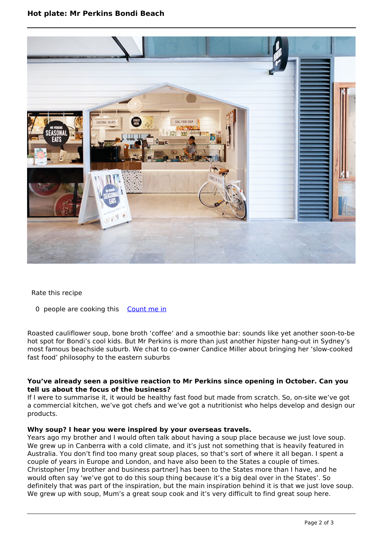

Rate this recipe

0 people are cooking this [Count me in](https://www.naturalhealthmag.com.au/flag/flag/favorites/2438?destination=printpdf%2F2438&token=9aee570db3e7ad0a06892e3bb5064bc0)

Roasted cauliflower soup, bone broth 'coffee' and a smoothie bar: sounds like yet another soon-to-be hot spot for Bondi's cool kids. But Mr Perkins is more than just another hipster hang-out in Sydney's most famous beachside suburb. We chat to co-owner Candice Miller about bringing her 'slow-cooked fast food' philosophy to the eastern suburbs

#### **You've already seen a positive reaction to Mr Perkins since opening in October. Can you tell us about the focus of the business?**

If I were to summarise it, it would be healthy fast food but made from scratch. So, on-site we've got a commercial kitchen, we've got chefs and we've got a nutritionist who helps develop and design our products.

### **Why soup? I hear you were inspired by your overseas travels.**

Years ago my brother and I would often talk about having a soup place because we just love soup. We grew up in Canberra with a cold climate, and it's just not something that is heavily featured in Australia. You don't find too many great soup places, so that's sort of where it all began. I spent a couple of years in Europe and London, and have also been to the States a couple of times. Christopher [my brother and business partner] has been to the States more than I have, and he would often say 'we've got to do this soup thing because it's a big deal over in the States'. So definitely that was part of the inspiration, but the main inspiration behind it is that we just love soup. We grew up with soup, Mum's a great soup cook and it's very difficult to find great soup here.